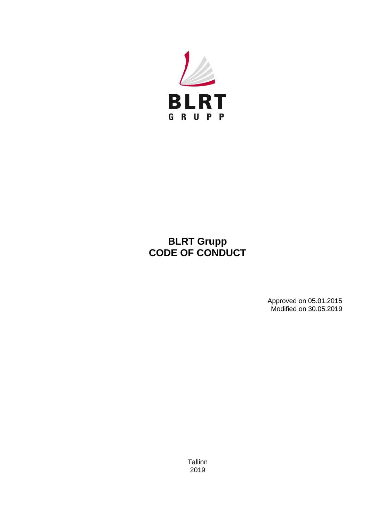

# **BLRT Grupp CODE OF CONDUCT**

 Approved on 05.01.2015 Modified on 30.05.2019

Tallinn 2019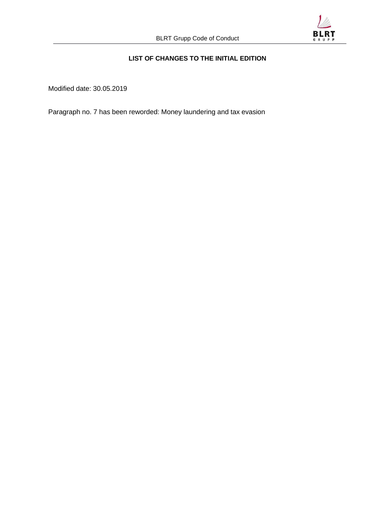

# **LIST OF CHANGES TO THE INITIAL EDITION**

Modified date: 30.05.2019

Paragraph no. 7 has been reworded: Money laundering and tax evasion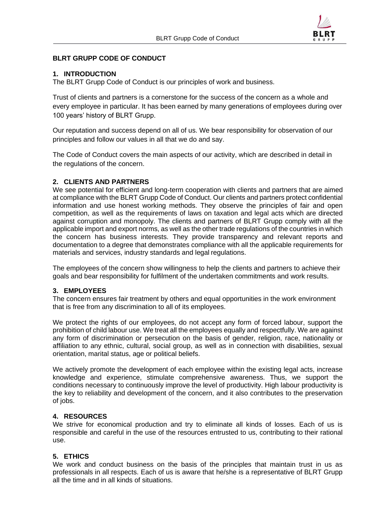

# **BLRT GRUPP CODE OF CONDUCT**

# **1. INTRODUCTION**

The BLRT Grupp Code of Conduct is our principles of work and business.

Trust of clients and partners is a cornerstone for the success of the concern as a whole and every employee in particular. It has been earned by many generations of employees during over 100 years' history of BLRT Grupp.

Our reputation and success depend on all of us. We bear responsibility for observation of our principles and follow our values in all that we do and say.

The Code of Conduct covers the main aspects of our activity, which are described in detail in the regulations of the concern.

# **2. CLIENTS AND PARTNERS**

We see potential for efficient and long-term cooperation with clients and partners that are aimed at compliance with the BLRT Grupp Code of Conduct. Our clients and partners protect confidential information and use honest working methods. They observe the principles of fair and open competition, as well as the requirements of laws on taxation and legal acts which are directed against corruption and monopoly. The clients and partners of BLRT Grupp comply with all the applicable import and export norms, as well as the other trade regulations of the countries in which the concern has business interests. They provide transparency and relevant reports and documentation to a degree that demonstrates compliance with all the applicable requirements for materials and services, industry standards and legal regulations.

The employees of the concern show willingness to help the clients and partners to achieve their goals and bear responsibility for fulfilment of the undertaken commitments and work results.

## **3. EMPLOYEES**

The concern ensures fair treatment by others and equal opportunities in the work environment that is free from any discrimination to all of its employees.

We protect the rights of our employees, do not accept any form of forced labour, support the prohibition of child labour use. We treat all the employees equally and respectfully. We are against any form of discrimination or persecution on the basis of gender, religion, race, nationality or affiliation to any ethnic, cultural, social group, as well as in connection with disabilities, sexual orientation, marital status, age or political beliefs.

We actively promote the development of each employee within the existing legal acts, increase knowledge and experience, stimulate comprehensive awareness. Thus, we support the conditions necessary to continuously improve the level of productivity. High labour productivity is the key to reliability and development of the concern, and it also contributes to the preservation of jobs.

## **4. RESOURCES**

We strive for economical production and try to eliminate all kinds of losses. Each of us is responsible and careful in the use of the resources entrusted to us, contributing to their rational use.

## **5. ETHICS**

We work and conduct business on the basis of the principles that maintain trust in us as professionals in all respects. Each of us is aware that he/she is a representative of BLRT Grupp all the time and in all kinds of situations.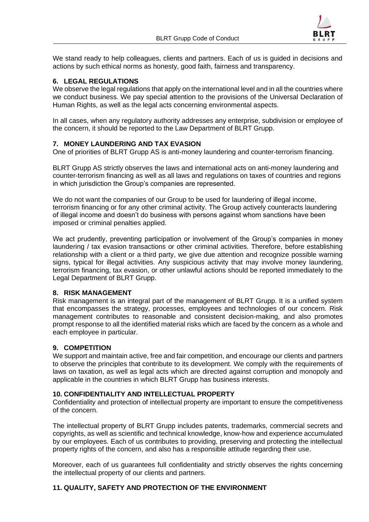

We stand ready to help colleagues, clients and partners. Each of us is guided in decisions and actions by such ethical norms as honesty, good faith, fairness and transparency.

## **6. LEGAL REGULATIONS**

We observe the legal regulations that apply on the international level and in all the countries where we conduct business. We pay special attention to the provisions of the Universal Declaration of Human Rights, as well as the legal acts concerning environmental aspects.

In all cases, when any regulatory authority addresses any enterprise, subdivision or employee of the concern, it should be reported to the Law Department of BLRT Grupp.

## **7. MONEY LAUNDERING AND TAX EVASION**

One of priorities of BLRT Grupp AS is anti-money laundering and counter-terrorism financing.

BLRT Grupp AS strictly observes the laws and international acts on anti-money laundering and counter-terrorism financing as well as all laws and regulations on taxes of countries and regions in which jurisdiction the Group's companies are represented.

We do not want the companies of our Group to be used for laundering of illegal income, terrorism financing or for any other criminal activity. The Group actively counteracts laundering of illegal income and doesn't do business with persons against whom sanctions have been imposed or criminal penalties applied.

We act prudently, preventing participation or involvement of the Group's companies in money laundering / tax evasion transactions or other criminal activities. Therefore, before establishing relationship with a client or a third party, we give due attention and recognize possible warning signs, typical for illegal activities. Any suspicious activity that may involve money laundering, terrorism financing, tax evasion, or other unlawful actions should be reported immediately to the Legal Department of BLRT Grupp.

#### **8. RISK MANAGEMENT**

Risk management is an integral part of the management of BLRT Grupp. It is a unified system that encompasses the strategy, processes, employees and technologies of our concern. Risk management contributes to reasonable and consistent decision-making, and also promotes prompt response to all the identified material risks which are faced by the concern as a whole and each employee in particular.

## **9. COMPETITION**

We support and maintain active, free and fair competition, and encourage our clients and partners to observe the principles that contribute to its development. We comply with the requirements of laws on taxation, as well as legal acts which are directed against corruption and monopoly and applicable in the countries in which BLRT Grupp has business interests.

#### **10. CONFIDENTIALITY AND INTELLECTUAL PROPERTY**

Confidentiality and protection of intellectual property are important to ensure the competitiveness of the concern.

The intellectual property of BLRT Grupp includes patents, trademarks, commercial secrets and copyrights, as well as scientific and technical knowledge, know-how and experience accumulated by our employees. Each of us contributes to providing, preserving and protecting the intellectual property rights of the concern, and also has a responsible attitude regarding their use.

Moreover, each of us guarantees full confidentiality and strictly observes the rights concerning the intellectual property of our clients and partners.

## **11. QUALITY, SAFETY AND PROTECTION OF THE ENVIRONMENT**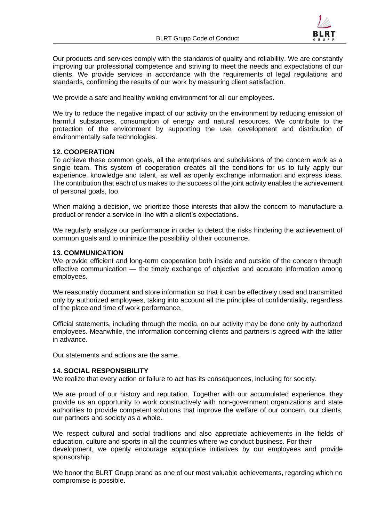

Our products and services comply with the standards of quality and reliability. We are constantly improving our professional competence and striving to meet the needs and expectations of our clients. We provide services in accordance with the requirements of legal regulations and standards, confirming the results of our work by measuring client satisfaction.

We provide a safe and healthy woking environment for all our employees.

We try to reduce the negative impact of our activity on the environment by reducing emission of harmful substances, consumption of energy and natural resources. We contribute to the protection of the environment by supporting the use, development and distribution of environmentally safe technologies.

#### **12. COOPERATION**

To achieve these common goals, all the enterprises and subdivisions of the concern work as a single team. This system of cooperation creates all the conditions for us to fully apply our experience, knowledge and talent, as well as openly exchange information and express ideas. The contribution that each of us makes to the success of the joint activity enables the achievement of personal goals, too.

When making a decision, we prioritize those interests that allow the concern to manufacture a product or render a service in line with a client's expectations.

We regularly analyze our performance in order to detect the risks hindering the achievement of common goals and to minimize the possibility of their occurrence.

#### **13. COMMUNICATION**

We provide efficient and long-term cooperation both inside and outside of the concern through effective communication — the timely exchange of objective and accurate information among employees.

We reasonably document and store information so that it can be effectively used and transmitted only by authorized employees, taking into account all the principles of confidentiality, regardless of the place and time of work performance.

Official statements, including through the media, on our activity may be done only by authorized employees. Meanwhile, the information concerning clients and partners is agreed with the latter in advance.

Our statements and actions are the same.

#### **14. SOCIAL RESPONSIBILITY**

We realize that every action or failure to act has its consequences, including for society.

We are proud of our history and reputation. Together with our accumulated experience, they provide us an opportunity to work constructively with [non-government organizations a](http://www.lingvo-online.ru/en/Search/Translate/GlossaryItemExtraInfo?text=%C3%90%C2%BE%C3%90%C2%B1%C3%91%E2%80%B0%C3%90%C2%B5%C3%91%C2%81%C3%91%E2%80%9A%C3%90%C2%B2%C3%90%C2%B5%C3%90%C2%BD%C3%90%C2%BD%C3%90%C2%B0%C3%91%C2%8F%20%C3%90%C2%BE%C3%91%E2%82%AC%C3%90%C2%B3%C3%90%C2%B0%C3%90%C2%BD%C3%90%C2%B8%C3%90%C2%B7%C3%90%C2%B0%C3%91%E2%80%A0%C3%90%C2%B8%C3%91%C2%8F&translation=non-government%20organization&srcLang=ru&destLang=en)nd state authorities to provide competent solutions that improve the welfare of our concern, our clients, our partners and society as a whole.

We respect cultural and social traditions and also appreciate achievements in the fields of education, culture and sports in all the countries where we conduct business. For their development, we openly encourage appropriate initiatives by our employees and provide sponsorship.

We honor the BLRT Grupp brand as one of our most valuable achievements, regarding which no compromise is possible.